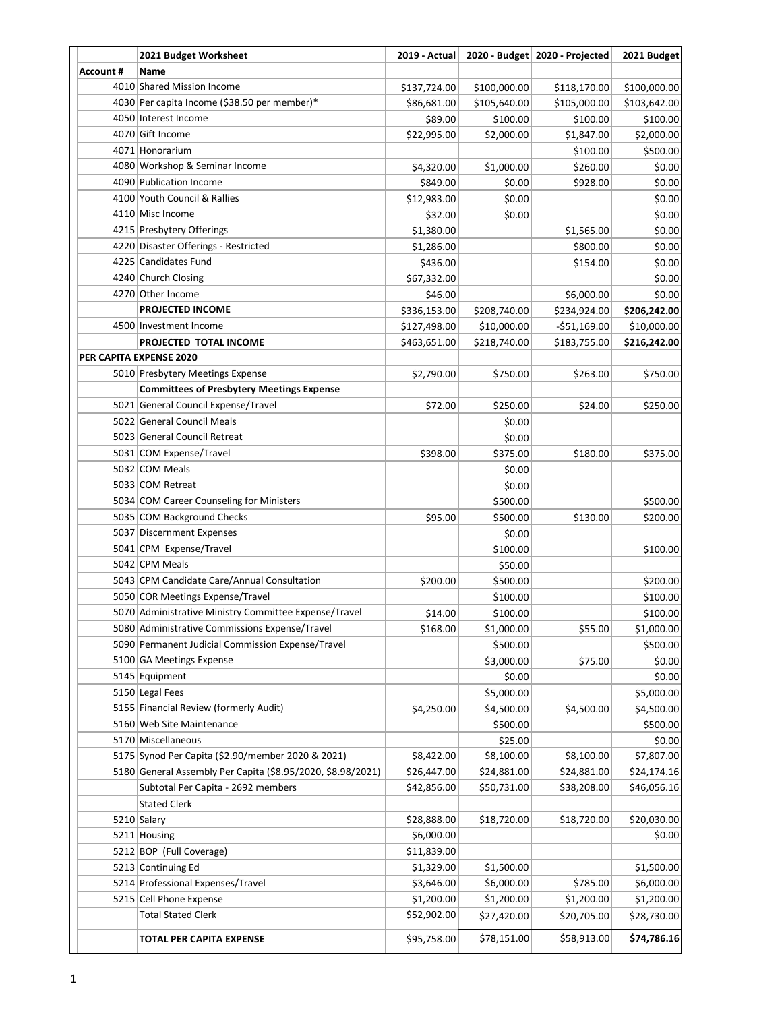|                  | 2021 Budget Worksheet                                                                   | 2019 - Actual |              | 2020 - Budget   2020 - Projected | 2021 Budget  |
|------------------|-----------------------------------------------------------------------------------------|---------------|--------------|----------------------------------|--------------|
| <b>Account #</b> | Name                                                                                    |               |              |                                  |              |
|                  | 4010 Shared Mission Income                                                              | \$137,724.00  | \$100,000.00 | \$118,170.00                     | \$100,000.00 |
|                  | 4030 Per capita Income (\$38.50 per member)*                                            | \$86,681.00   | \$105,640.00 | \$105,000.00                     | \$103,642.00 |
|                  | 4050 Interest Income                                                                    | \$89.00       | \$100.00     | \$100.00                         | \$100.00     |
|                  | 4070 Gift Income                                                                        | \$22,995.00   | \$2,000.00   | \$1,847.00                       | \$2,000.00   |
|                  | 4071 Honorarium                                                                         |               |              | \$100.00                         | \$500.00     |
|                  | 4080 Workshop & Seminar Income                                                          | \$4,320.00    | \$1,000.00   | \$260.00                         | \$0.00       |
|                  | 4090 Publication Income                                                                 | \$849.00      | \$0.00       | \$928.00                         | \$0.00       |
|                  | 4100 Youth Council & Rallies                                                            | \$12,983.00   | \$0.00       |                                  | \$0.00       |
|                  | 4110 Misc Income                                                                        | \$32.00       | \$0.00       |                                  | \$0.00       |
|                  | 4215 Presbytery Offerings                                                               | \$1,380.00    |              | \$1,565.00                       | \$0.00       |
|                  | 4220 Disaster Offerings - Restricted                                                    | \$1,286.00    |              | \$800.00                         | \$0.00       |
|                  | 4225 Candidates Fund                                                                    | \$436.00      |              | \$154.00                         | \$0.00       |
|                  | 4240 Church Closing                                                                     | \$67,332.00   |              |                                  | \$0.00       |
|                  | 4270 Other Income                                                                       | \$46.00       |              | \$6,000.00                       | \$0.00       |
|                  | <b>PROJECTED INCOME</b>                                                                 | \$336,153.00  | \$208,740.00 | \$234,924.00                     | \$206,242.00 |
|                  | 4500 Investment Income                                                                  | \$127,498.00  | \$10,000.00  | $-551,169.00$                    | \$10,000.00  |
|                  | PROJECTED TOTAL INCOME                                                                  | \$463,651.00  | \$218,740.00 | \$183,755.00                     | \$216,242.00 |
|                  | PER CAPITA EXPENSE 2020                                                                 |               |              |                                  |              |
|                  | 5010 Presbytery Meetings Expense                                                        |               | \$750.00     |                                  | \$750.00     |
|                  |                                                                                         | \$2,790.00    |              | \$263.00                         |              |
|                  | <b>Committees of Presbytery Meetings Expense</b><br>5021 General Council Expense/Travel |               |              |                                  |              |
|                  |                                                                                         | \$72.00       | \$250.00     | \$24.00                          | \$250.00     |
|                  | 5022 General Council Meals                                                              |               | \$0.00       |                                  |              |
|                  | 5023 General Council Retreat                                                            |               | \$0.00       |                                  |              |
|                  | 5031 COM Expense/Travel                                                                 | \$398.00      | \$375.00     | \$180.00                         | \$375.00     |
|                  | 5032 COM Meals                                                                          |               | \$0.00       |                                  |              |
|                  | 5033 COM Retreat                                                                        |               | \$0.00       |                                  |              |
|                  | 5034 COM Career Counseling for Ministers                                                |               | \$500.00     |                                  | \$500.00     |
|                  | 5035 COM Background Checks                                                              | \$95.00       | \$500.00     | \$130.00                         | \$200.00     |
|                  | 5037 Discernment Expenses                                                               |               | \$0.00       |                                  |              |
|                  | 5041 CPM Expense/Travel                                                                 |               | \$100.00     |                                  | \$100.00     |
|                  | 5042 CPM Meals                                                                          |               | \$50.00      |                                  |              |
|                  | 5043 CPM Candidate Care/Annual Consultation                                             | \$200.00      | \$500.00     |                                  | \$200.00     |
|                  | 5050 COR Meetings Expense/Travel                                                        |               | \$100.00     |                                  | \$100.00     |
|                  | 5070 Administrative Ministry Committee Expense/Travel                                   | \$14.00       | \$100.00     |                                  | \$100.00     |
|                  | 5080 Administrative Commissions Expense/Travel                                          | \$168.00      | \$1,000.00   | \$55.00                          | \$1,000.00   |
|                  | 5090 Permanent Judicial Commission Expense/Travel                                       |               | \$500.00     |                                  | \$500.00     |
|                  | 5100 GA Meetings Expense                                                                |               | \$3,000.00   | \$75.00                          | \$0.00       |
|                  | 5145 Equipment                                                                          |               | \$0.00       |                                  | \$0.00       |
|                  | 5150 Legal Fees                                                                         |               | \$5,000.00   |                                  | \$5,000.00   |
|                  | 5155 Financial Review (formerly Audit)                                                  | \$4,250.00    | \$4,500.00   | \$4,500.00                       | \$4,500.00   |
|                  | 5160 Web Site Maintenance                                                               |               | \$500.00     |                                  | \$500.00     |
|                  | 5170 Miscellaneous                                                                      |               | \$25.00      |                                  | \$0.00       |
|                  | 5175 Synod Per Capita (\$2.90/member 2020 & 2021)                                       | \$8,422.00    | \$8,100.00   | \$8,100.00                       | \$7,807.00   |
|                  | 5180 General Assembly Per Capita (\$8.95/2020, \$8.98/2021)                             | \$26,447.00   | \$24,881.00  | \$24,881.00                      | \$24,174.16  |
|                  | Subtotal Per Capita - 2692 members                                                      | \$42,856.00   | \$50,731.00  | \$38,208.00                      | \$46,056.16  |
|                  | <b>Stated Clerk</b>                                                                     |               |              |                                  |              |
|                  | 5210 Salary                                                                             | \$28,888.00   | \$18,720.00  | \$18,720.00                      | \$20,030.00  |
|                  | 5211 Housing                                                                            | \$6,000.00    |              |                                  | \$0.00       |
|                  | 5212 BOP (Full Coverage)                                                                | \$11,839.00   |              |                                  |              |
|                  | 5213 Continuing Ed                                                                      | \$1,329.00    | \$1,500.00   |                                  | \$1,500.00   |
|                  | 5214 Professional Expenses/Travel                                                       | \$3,646.00    | \$6,000.00   | \$785.00                         | \$6,000.00   |
|                  | 5215 Cell Phone Expense                                                                 | \$1,200.00    | \$1,200.00   | \$1,200.00                       | \$1,200.00   |
|                  | <b>Total Stated Clerk</b>                                                               | \$52,902.00   | \$27,420.00  | \$20,705.00                      | \$28,730.00  |
|                  |                                                                                         |               |              |                                  |              |
|                  | TOTAL PER CAPITA EXPENSE                                                                | \$95,758.00   | \$78,151.00  | \$58,913.00                      | \$74,786.16  |